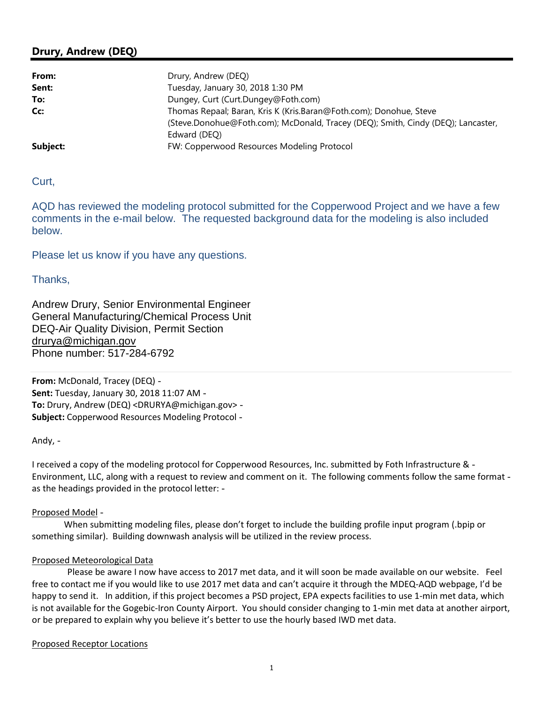# **Drury, Andrew (DEQ)**

| From:    | Drury, Andrew (DEQ)                                                              |  |  |  |  |  |  |
|----------|----------------------------------------------------------------------------------|--|--|--|--|--|--|
| Sent:    | Tuesday, January 30, 2018 1:30 PM                                                |  |  |  |  |  |  |
| To:      | Dungey, Curt (Curt.Dungey@Foth.com)                                              |  |  |  |  |  |  |
| Cc:      | Thomas Repaal; Baran, Kris K (Kris.Baran@Foth.com); Donohue, Steve               |  |  |  |  |  |  |
|          | (Steve.Donohue@Foth.com); McDonald, Tracey (DEQ); Smith, Cindy (DEQ); Lancaster, |  |  |  |  |  |  |
|          | Edward (DEQ)                                                                     |  |  |  |  |  |  |
| Subject: | FW: Copperwood Resources Modeling Protocol                                       |  |  |  |  |  |  |

Curt,

AQD has reviewed the modeling protocol submitted for the Copperwood Project and we have a few comments in the e-mail below. The requested background data for the modeling is also included below.

Please let us know if you have any questions.

Thanks,

Andrew Drury, Senior Environmental Engineer General Manufacturing/Chemical Process Unit DEQ-Air Quality Division, Permit Section [drurya@michigan.gov](mailto:drurya@michigan.gov)  Phone number: 517-284-6792

**From:** McDonald, Tracey (DEQ) **Sent:** Tuesday, January 30, 2018 11:07 AM **To:** Drury, Andrew (DEQ) [<DRURYA@michigan.gov>](mailto:DRURYA@michigan.gov) **Subject:** Copperwood Resources Modeling Protocol

Andy, -

I received a copy of the modeling protocol for Copperwood Resources, Inc. submitted by Foth Infrastructure & -Environment, LLC, along with a request to review and comment on it. The following comments follow the same format as the headings provided in the protocol letter:

#### Proposed Model

When submitting modeling files, please don't forget to include the building profile input program (.bpip or something similar). Building downwash analysis will be utilized in the review process.

#### Proposed Meteorological Data

Please be aware I now have access to 2017 met data, and it will soon be made available on our website. Feel free to contact me if you would like to use 2017 met data and can't acquire it through the MDEQ-AQD webpage, I'd be happy to send it. In addition, if this project becomes a PSD project, EPA expects facilities to use 1-min met data, which is not available for the Gogebic-Iron County Airport. You should consider changing to 1-min met data at another airport, or be prepared to explain why you believe it's better to use the hourly based IWD met data.

Proposed Receptor Locations